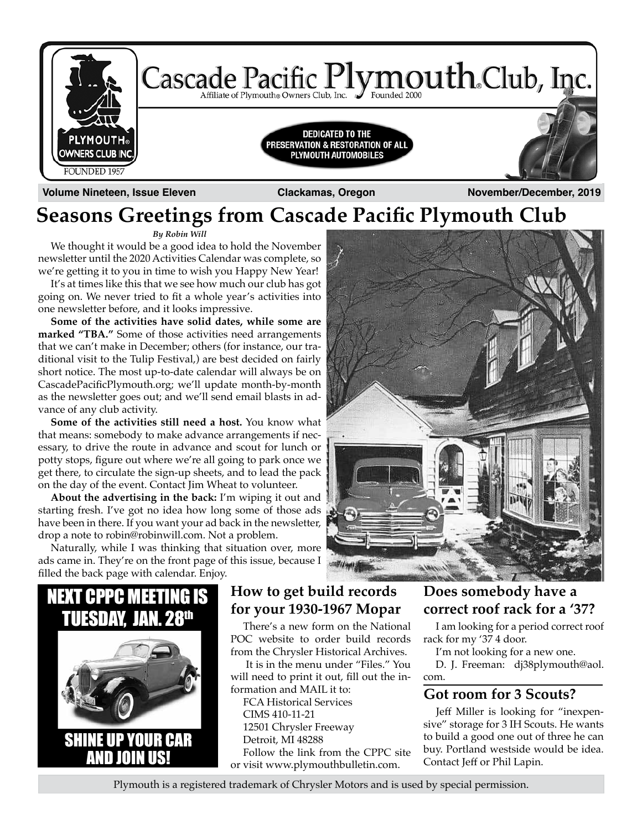

**Seasons Greetings from Cascade Pacific Plymouth Club**

*By Robin Will*

We thought it would be a good idea to hold the November newsletter until the 2020 Activities Calendar was complete, so we're getting it to you in time to wish you Happy New Year!

It's at times like this that we see how much our club has got going on. We never tried to fit a whole year's activities into one newsletter before, and it looks impressive.

**Some of the activities have solid dates, while some are marked "TBA."** Some of those activities need arrangements that we can't make in December; others (for instance, our traditional visit to the Tulip Festival,) are best decided on fairly short notice. The most up-to-date calendar will always be on CascadePacificPlymouth.org; we'll update month-by-month as the newsletter goes out; and we'll send email blasts in advance of any club activity.

**Some of the activities still need a host.** You know what that means: somebody to make advance arrangements if necessary, to drive the route in advance and scout for lunch or potty stops, figure out where we're all going to park once we get there, to circulate the sign-up sheets, and to lead the pack on the day of the event. Contact Jim Wheat to volunteer.

**About the advertising in the back:** I'm wiping it out and starting fresh. I've got no idea how long some of those ads have been in there. If you want your ad back in the newsletter, drop a note to robin@robinwill.com. Not a problem.

Naturally, while I was thinking that situation over, more ads came in. They're on the front page of this issue, because I filled the back page with calendar. Enjoy.



#### **How to get build records for your 1930-1967 Mopar**

There's a new form on the National POC website to order build records from the Chrysler Historical Archives.

 It is in the menu under "Files." You will need to print it out, fill out the information and MAIL it to:

FCA Historical Services CIMS 410-11-21 12501 Chrysler Freeway Detroit, MI 48288 Follow the link from the CPPC site or visit www.plymouthbulletin.com.

#### **Does somebody have a correct roof rack for a '37?**

I am looking for a period correct roof rack for my '37 4 door.

I'm not looking for a new one.

D. J. Freeman: dj38plymouth@aol. com.

#### **Got room for 3 Scouts?**

Jeff Miller is looking for "inexpensive" storage for 3 IH Scouts. He wants to build a good one out of three he can buy. Portland westside would be idea. Contact Jeff or Phil Lapin.

Plymouth is a registered trademark of Chrysler Motors and is used by special permission.

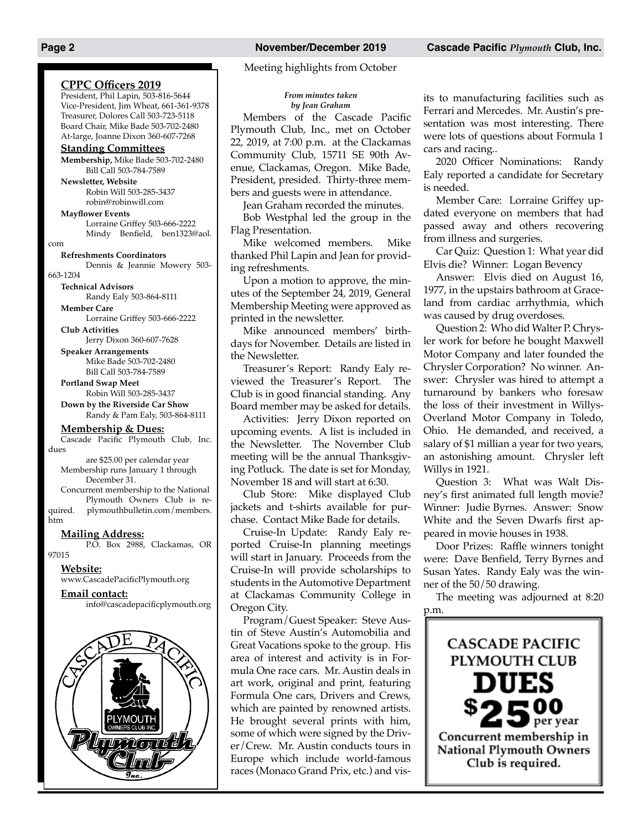Meeting highlights from October

#### *From minutes taken by Jean Graham*

Members of the Cascade Pacific Plymouth Club, Inc., met on October 22, 2019, at 7:00 p.m. at the Clackamas Community Club, 15711 SE 90th Avenue, Clackamas, Oregon. Mike Bade, President, presided. Thirty-three members and guests were in attendance.

Jean Graham recorded the minutes.

Bob Westphal led the group in the Flag Presentation.

Mike welcomed members. Mike thanked Phil Lapin and Jean for providing refreshments.

Upon a motion to approve, the minutes of the September 24, 2019, General Membership Meeting were approved as printed in the newsletter.

Mike announced members' birthdays for November. Details are listed in the Newsletter.

Treasurer's Report: Randy Ealy reviewed the Treasurer's Report. The Club is in good financial standing. Any Board member may be asked for details.

Activities: Jerry Dixon reported on upcoming events. A list is included in the Newsletter. The November Club meeting will be the annual Thanksgiving Potluck. The date is set for Monday, November 18 and will start at 6:30.

Club Store: Mike displayed Club jackets and t-shirts available for purchase. Contact Mike Bade for details.

Cruise-In Update: Randy Ealy reported Cruise-In planning meetings will start in January. Proceeds from the Cruise-In will provide scholarships to students in the Automotive Department at Clackamas Community College in Oregon City.

Program/Guest Speaker: Steve Austin of Steve Austin's Automobilia and Great Vacations spoke to the group. His area of interest and activity is in Formula One race cars. Mr. Austin deals in art work, original and print, featuring Formula One cars, Drivers and Crews, which are painted by renowned artists. He brought several prints with him, some of which were signed by the Driver/Crew. Mr. Austin conducts tours in Europe which include world-famous races (Monaco Grand Prix, etc.) and visits to manufacturing facilities such as Ferrari and Mercedes. Mr. Austin's presentation was most interesting. There were lots of questions about Formula 1 cars and racing..

2020 Officer Nominations: Randy Ealy reported a candidate for Secretary is needed.

Member Care: Lorraine Griffey updated everyone on members that had passed away and others recovering from illness and surgeries.

Car Quiz: Question 1: What year did Elvis die? Winner: Logan Bevency

Answer: Elvis died on August 16, 1977, in the upstairs bathroom at Graceland from cardiac arrhythmia, which was caused by drug overdoses.

Question 2: Who did Walter P. Chrysler work for before he bought Maxwell Motor Company and later founded the Chrysler Corporation? No winner. Answer: Chrysler was hired to attempt a turnaround by bankers who foresaw the loss of their investment in Willys-Overland Motor Company in Toledo, Ohio. He demanded, and received, a salary of \$1 millian a year for two years, an astonishing amount. Chrysler left Willys in 1921.

Question 3: What was Walt Disney's first animated full length movie? Winner: Judie Byrnes. Answer: Snow White and the Seven Dwarfs first appeared in movie houses in 1938.

Door Prizes: Raffle winners tonight were: Dave Benfield, Terry Byrnes and Susan Yates. Randy Ealy was the winner of the 50/50 drawing.

The meeting was adjourned at 8:20 p.m.



Board Chair, Mike Bade 503-702-2480 At-large, Joanne Dixon 360-607-7268 **Standing Committees Membership,** Mike Bade 503-702-2480 Bill Call 503-784-7589 **Newsletter, Website** Robin Will 503-285-3437 robin@robinwill.com **Mayflower Events** Lorraine Griffey 503-666-2222 Mindy Benfield, ben1323@aol. com **Refreshments Coordinators** Dennis & Jeannie Mowery 503- 663-1204 **Technical Advisors** Randy Ealy 503-864-8111 **Member Care** Lorraine Griffey 503-666-2222 **Club Activities** Jerry Dixon 360-607-7628 **Speaker Arrangements**

**CPPC Officers 2019** President, Phil Lapin, 503-816-5644 Vice-President, Jim Wheat, 661-361-9378 Treasurer, Dolores Call 503-723-5118

Mike Bade 503-702-2480 Bill Call 503-784-7589

**Portland Swap Meet** Robin Will 503-285-3437

**Down by the Riverside Car Show** Randy & Pam Ealy, 503-864-8111

#### **Membership & Dues:**

Cascade Pacific Plymouth Club, Inc. dues

are \$25.00 per calendar year Membership runs January 1 through December 31.

Concurrent membership to the National Plymouth Owners Club is re-

quired. plymouthbulletin.com/members. htm

#### **Mailing Address:**

P.O. Box 2988, Clackamas, OR 97015

#### **Website:**

www.CascadePacificPlymouth.org

**Email contact:**

info@cascadepacificplymouth.org

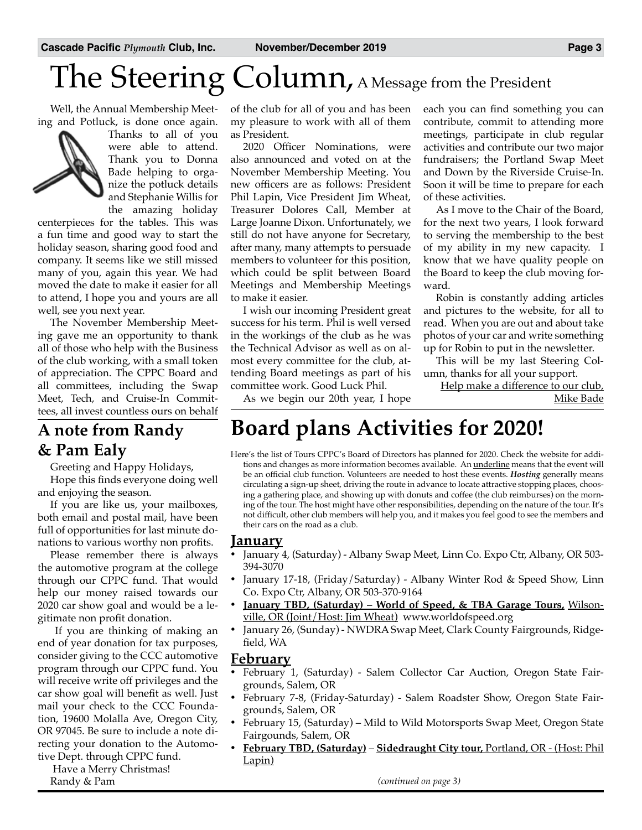# The Steering Column, A Message from the President

Well, the Annual Membership Meeting and Potluck, is done once again.



Thanks to all of you were able to attend. Thank you to Donna Bade helping to organize the potluck details and Stephanie Willis for

the amazing holiday centerpieces for the tables. This was a fun time and good way to start the holiday season, sharing good food and company. It seems like we still missed many of you, again this year. We had moved the date to make it easier for all to attend, I hope you and yours are all well, see you next year.

The November Membership Meeting gave me an opportunity to thank all of those who help with the Business of the club working, with a small token of appreciation. The CPPC Board and all committees, including the Swap Meet, Tech, and Cruise-In Committees, all invest countless ours on behalf

### **A note from Randy & Pam Ealy**

Greeting and Happy Holidays, Hope this finds everyone doing well and enjoying the season.

If you are like us, your mailboxes, both email and postal mail, have been full of opportunities for last minute donations to various worthy non profits.

Please remember there is always the automotive program at the college through our CPPC fund. That would help our money raised towards our 2020 car show goal and would be a legitimate non profit donation.

 If you are thinking of making an end of year donation for tax purposes, consider giving to the CCC automotive program through our CPPC fund. You will receive write off privileges and the car show goal will benefit as well. Just mail your check to the CCC Foundation, 19600 Molalla Ave, Oregon City, OR 97045. Be sure to include a note directing your donation to the Automotive Dept. through CPPC fund.

 Have a Merry Christmas! Randy & Pam

of the club for all of you and has been my pleasure to work with all of them as President.

2020 Officer Nominations, were also announced and voted on at the November Membership Meeting. You new officers are as follows: President Phil Lapin, Vice President Jim Wheat, Treasurer Dolores Call, Member at Large Joanne Dixon. Unfortunately, we still do not have anyone for Secretary, after many, many attempts to persuade members to volunteer for this position, which could be split between Board Meetings and Membership Meetings to make it easier.

I wish our incoming President great success for his term. Phil is well versed in the workings of the club as he was the Technical Advisor as well as on almost every committee for the club, attending Board meetings as part of his committee work. Good Luck Phil.

each you can find something you can contribute, commit to attending more meetings, participate in club regular activities and contribute our two major fundraisers; the Portland Swap Meet and Down by the Riverside Cruise-In. Soon it will be time to prepare for each of these activities.

As I move to the Chair of the Board, for the next two years, I look forward to serving the membership to the best of my ability in my new capacity. I know that we have quality people on the Board to keep the club moving forward.

Robin is constantly adding articles and pictures to the website, for all to read. When you are out and about take photos of your car and write something up for Robin to put in the newsletter.

This will be my last Steering Column, thanks for all your support.

Help make a difference to our club, Mike Bade

#### As we begin our 20th year, I hope

### **Board plans Activities for 2020!**

Here's the list of Tours CPPC's Board of Directors has planned for 2020. Check the website for additions and changes as more information becomes available. An underline means that the event will be an official club function. Volunteers are needed to host these events. *Hosting* generally means circulating a sign-up sheet, driving the route in advance to locate attractive stopping places, choosing a gathering place, and showing up with donuts and coffee (the club reimburses) on the morning of the tour. The host might have other responsibilities, depending on the nature of the tour. It's not difficult, other club members will help you, and it makes you feel good to see the members and their cars on the road as a club.

#### **January**

- January 4, (Saturday) Albany Swap Meet, Linn Co. Expo Ctr, Albany, OR 503-394-3070
- January 17-18, (Friday/Saturday) Albany Winter Rod & Speed Show, Linn Co. Expo Ctr, Albany, OR 503-370-9164
- **January TBD, (Saturday)** World of Speed, & TBA Garage Tours, Wilsonville, OR (Joint/Host: Jim Wheat) www.worldofspeed.org
- January 26, (Sunday) NWDRA Swap Meet, Clark County Fairgrounds, Ridgefield, WA

#### **February**

- February 1, (Saturday) Salem Collector Car Auction, Oregon State Fairgrounds, Salem, OR
- February 7-8, (Friday-Saturday) Salem Roadster Show, Oregon State Fairgrounds, Salem, OR
- February 15, (Saturday) Mild to Wild Motorsports Swap Meet, Oregon State Fairgounds, Salem, OR
- • **February TBD, (Saturday) Sidedraught City tour,** Portland, OR (Host: Phil Lapin)

*(continued on page 3)*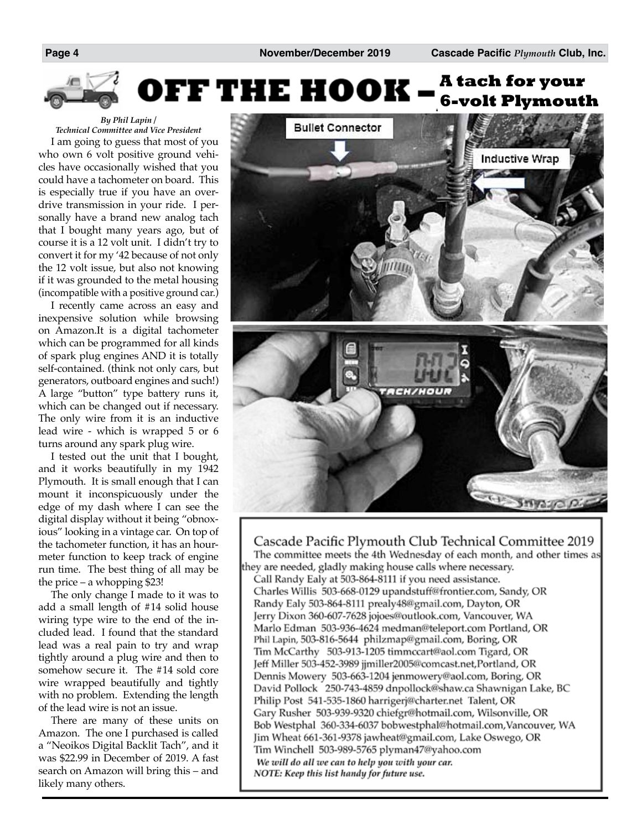

*By Phil Lapin / Technical Committee and Vice President*

I am going to guess that most of you who own 6 volt positive ground vehicles have occasionally wished that you could have a tachometer on board. This is especially true if you have an overdrive transmission in your ride. I personally have a brand new analog tach that I bought many years ago, but of course it is a 12 volt unit. I didn't try to convert it for my '42 because of not only the 12 volt issue, but also not knowing if it was grounded to the metal housing (incompatible with a positive ground car.)

I recently came across an easy and inexpensive solution while browsing on Amazon.It is a digital tachometer which can be programmed for all kinds of spark plug engines AND it is totally self-contained. (think not only cars, but generators, outboard engines and such!) A large "button" type battery runs it, which can be changed out if necessary. The only wire from it is an inductive lead wire - which is wrapped 5 or 6 turns around any spark plug wire.

I tested out the unit that I bought, and it works beautifully in my 1942 Plymouth. It is small enough that I can mount it inconspicuously under the edge of my dash where I can see the digital display without it being "obnoxious" looking in a vintage car. On top of the tachometer function, it has an hourmeter function to keep track of engine run time. The best thing of all may be the price – a whopping \$23!

The only change I made to it was to add a small length of #14 solid house wiring type wire to the end of the included lead. I found that the standard lead was a real pain to try and wrap tightly around a plug wire and then to somehow secure it. The #14 sold core wire wrapped beautifully and tightly with no problem. Extending the length of the lead wire is not an issue.

There are many of these units on Amazon. The one I purchased is called a "Neoikos Digital Backlit Tach", and it was \$22.99 in December of 2019. A fast search on Amazon will bring this – and likely many others.



Cascade Pacific Plymouth Club Technical Committee 2019 The committee meets the 4th Wednesday of each month, and other times as they are needed, gladly making house calls where necessary.

Call Randy Ealy at 503-864-8111 if you need assistance. Charles Willis 503-668-0129 upandstuff@frontier.com, Sandy, OR Randy Ealy 503-864-8111 prealy48@gmail.com, Dayton, OR Jerry Dixon 360-607-7628 jojoes@outlook.com, Vancouver, WA Marlo Edman 503-936-4624 medman@teleport.com Portland, OR Phil Lapin, 503-816-5644 philzmap@gmail.com, Boring, OR Tim McCarthy 503-913-1205 timmccart@aol.com Tigard, OR Jeff Miller 503-452-3989 jjmiller2005@comcast.net, Portland, OR Dennis Mowery 503-663-1204 jenmowery@aol.com, Boring, OR David Pollock 250-743-4859 dnpollock@shaw.ca Shawnigan Lake, BC Philip Post 541-535-1860 harrigerj@charter.net Talent, OR Gary Rusher 503-939-9320 chiefgr@hotmail.com, Wilsonville, OR Bob Westphal 360-334-6037 bobwestphal@hotmail.com, Vancouver, WA Jim Wheat 661-361-9378 jawheat@gmail.com, Lake Oswego, OR Tim Winchell 503-989-5765 plyman47@yahoo.com We will do all we can to help you with your car. NOTE: Keep this list handy for future use.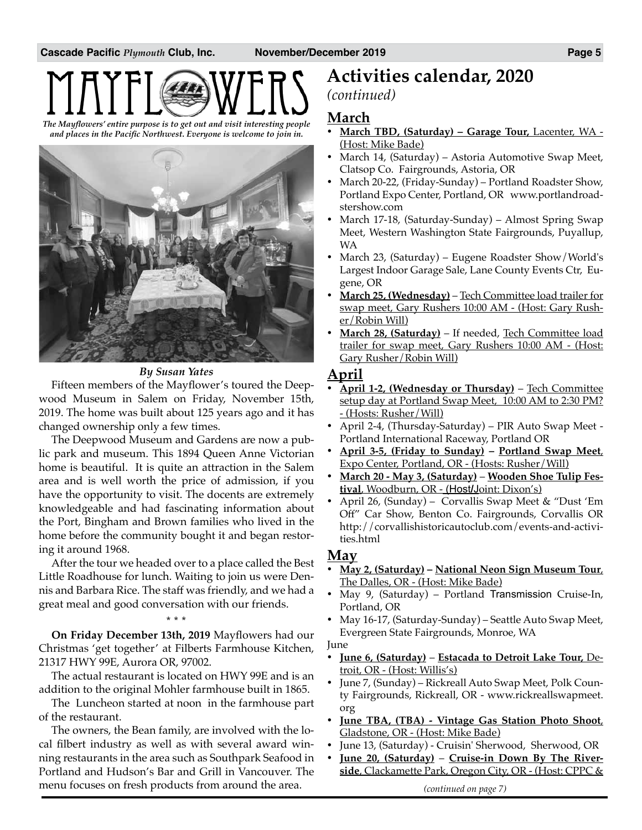# *The Mayflowers' entire purpose is to get out and visit interesting people*

*and places in the Pacific Northwest. Everyone is welcome to join in.*



#### *By Susan Yates*

Fifteen members of the Mayflower's toured the Deepwood Museum in Salem on Friday, November 15th, 2019. The home was built about 125 years ago and it has changed ownership only a few times.

The Deepwood Museum and Gardens are now a public park and museum. This 1894 Queen Anne Victorian home is beautiful. It is quite an attraction in the Salem area and is well worth the price of admission, if you have the opportunity to visit. The docents are extremely knowledgeable and had fascinating information about the Port, Bingham and Brown families who lived in the home before the community bought it and began restoring it around 1968.

After the tour we headed over to a place called the Best Little Roadhouse for lunch. Waiting to join us were Dennis and Barbara Rice. The staff was friendly, and we had a great meal and good conversation with our friends.

**\* \* \* On Friday December 13th, 2019** Mayflowers had our Christmas 'get together' at Filberts Farmhouse Kitchen, 21317 HWY 99E, Aurora OR, 97002.

The actual restaurant is located on HWY 99E and is an addition to the original Mohler farmhouse built in 1865.

The Luncheon started at noon in the farmhouse part of the restaurant.

The owners, the Bean family, are involved with the local filbert industry as well as with several award winning restaurants in the area such as Southpark Seafood in Portland and Hudson's Bar and Grill in Vancouver. The menu focuses on fresh products from around the area.

### **Activities calendar, 2020**

#### *(continued)*

#### **March**

- • **March TBD, (Saturday) – Garage Tour,** Lacenter, WA (Host: Mike Bade)
- • March 14, (Saturday) Astoria Automotive Swap Meet, Clatsop Co. Fairgrounds, Astoria, OR
- March 20-22, (Friday-Sunday) Portland Roadster Show, Portland Expo Center, Portland, OR www.portlandroadstershow.com
- March 17-18, (Saturday-Sunday) Almost Spring Swap Meet, Western Washington State Fairgrounds, Puyallup, WA
- March 23, (Saturday) Eugene Roadster Show/World's Largest Indoor Garage Sale, Lane County Events Ctr, Eugene, OR
- March 25, (Wednesday) Tech Committee load trailer for swap meet, Gary Rushers 10:00 AM - (Host: Gary Rusher/Robin Will)
- March 28, (Saturday) If needed, Tech Committee load trailer for swap meet, Gary Rushers 10:00 AM - (Host: Gary Rusher/Robin Will)

#### **April**

- April 1-2, (Wednesday or Thursday) Tech Committee setup day at Portland Swap Meet, 10:00 AM to 2:30 PM? - (Hosts: Rusher/Will)
- • April 2-4, (Thursday-Saturday) PIR Auto Swap Meet Portland International Raceway, Portland OR
- • **April 3-5, (Friday to Sunday) – Portland Swap Meet**, Expo Center, Portland, OR - (Hosts: Rusher/Will)
- • **March 20 May 3, (Saturday) Wooden Shoe Tulip Festival**, Woodburn, OR - (Host**/**Joint: Dixon's)
- • April 26, (Sunday) Corvallis Swap Meet & "Dust 'Em Off" Car Show, Benton Co. Fairgrounds, Corvallis OR http://corvallishistoricautoclub.com/events-and-activities.html

#### **May**

- • **May 2, (Saturday) – National Neon Sign Museum Tour**, The Dalles, OR - (Host: Mike Bade)
- May 9, (Saturday) Portland Transmission Cruise-In, Portland, OR
- May 16-17, (Saturday-Sunday) Seattle Auto Swap Meet, Evergreen State Fairgrounds, Monroe, WA

#### June

- **June 6, (Saturday)** Estacada to Detroit Lake Tour, Detroit, OR - (Host: Willis's)
- June 7, (Sunday) Rickreall Auto Swap Meet, Polk County Fairgrounds, Rickreall, OR - www.rickreallswapmeet. org
- **June TBA, (TBA) Vintage Gas Station Photo Shoot,** Gladstone, OR - (Host: Mike Bade)
- • June 13, (Saturday) Cruisin' Sherwood, Sherwood, OR
- • **June 20, (Saturday) Cruise-in Down By The Riverside**, Clackamette Park, Oregon City, OR - (Host: CPPC &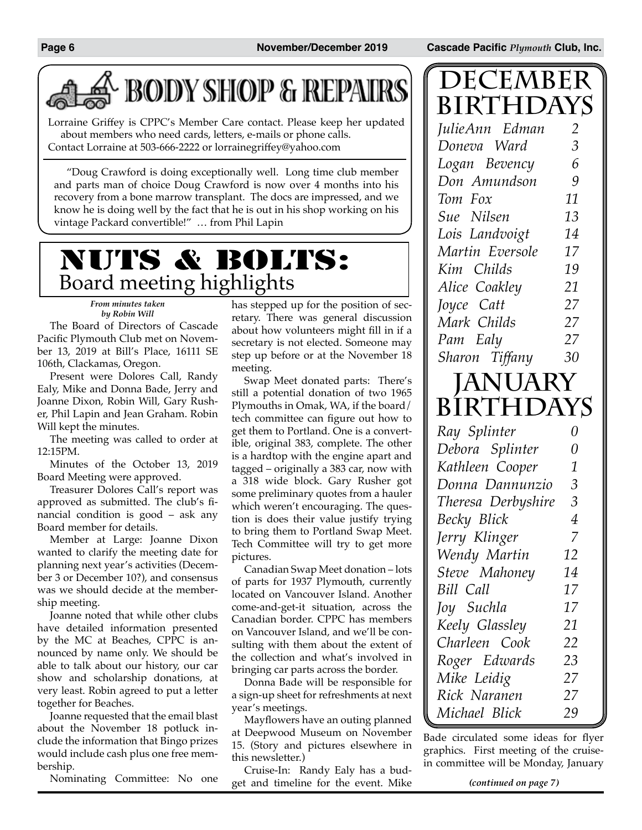**Page 6 November/December 2019 Cascade Pacific** *Plymouth* **Club, Inc.**

**DECEMBER**

## **BODY SHOP & REPAIRS**

Lorraine Griffey is CPPC's Member Care contact. Please keep her updated about members who need cards, letters, e-mails or phone calls. Contact Lorraine at 503-666-2222 or lorrainegriffey@yahoo.com

"Doug Crawford is doing exceptionally well. Long time club member and parts man of choice Doug Crawford is now over 4 months into his recovery from a bone marrow transplant. The docs are impressed, and we know he is doing well by the fact that he is out in his shop working on his vintage Packard convertible!" … from Phil Lapin

### NUTS & BOLTS: Board meeting highlights

*From minutes taken by Robin Will*

The Board of Directors of Cascade Pacific Plymouth Club met on November 13, 2019 at Bill's Place, 16111 SE 106th, Clackamas, Oregon.

Present were Dolores Call, Randy Ealy, Mike and Donna Bade, Jerry and Joanne Dixon, Robin Will, Gary Rusher, Phil Lapin and Jean Graham. Robin Will kept the minutes.

The meeting was called to order at 12:15PM.

Minutes of the October 13, 2019 Board Meeting were approved.

Treasurer Dolores Call's report was approved as submitted. The club's financial condition is good – ask any Board member for details.

Member at Large: Joanne Dixon wanted to clarify the meeting date for planning next year's activities (December 3 or December 10?), and consensus was we should decide at the membership meeting.

Joanne noted that while other clubs have detailed information presented by the MC at Beaches, CPPC is announced by name only. We should be able to talk about our history, our car show and scholarship donations, at very least. Robin agreed to put a letter together for Beaches.

Joanne requested that the email blast about the November 18 potluck include the information that Bingo prizes would include cash plus one free membership.

Nominating Committee: No one

has stepped up for the position of secretary. There was general discussion about how volunteers might fill in if a secretary is not elected. Someone may step up before or at the November 18 meeting.

Swap Meet donated parts: There's still a potential donation of two 1965 Plymouths in Omak, WA, if the board/ tech committee can figure out how to get them to Portland. One is a convertible, original 383, complete. The other is a hardtop with the engine apart and tagged – originally a 383 car, now with a 318 wide block. Gary Rusher got some preliminary quotes from a hauler which weren't encouraging. The question is does their value justify trying to bring them to Portland Swap Meet. Tech Committee will try to get more pictures.

Canadian Swap Meet donation – lots of parts for 1937 Plymouth, currently located on Vancouver Island. Another come-and-get-it situation, across the Canadian border. CPPC has members on Vancouver Island, and we'll be consulting with them about the extent of the collection and what's involved in bringing car parts across the border.

Donna Bade will be responsible for a sign-up sheet for refreshments at next year's meetings.

Mayflowers have an outing planned at Deepwood Museum on November 15. (Story and pictures elsewhere in this newsletter.)

Cruise-In: Randy Ealy has a budget and timeline for the event. Mike

| BIRTHDAYS                          |                |
|------------------------------------|----------------|
| JulieAnn Edman                     | $\overline{2}$ |
| Doneva Ward                        | 3              |
| Logan Bevency                      | 6              |
| Don Amundson                       | 9              |
| Tom Fox                            | 11             |
| Sue Nilsen                         | 13             |
| Lois Landvoigt                     | 14             |
| Martin Eversole                    | 17             |
| Kim Childs                         | 19             |
| Alice Coakley                      | 21             |
| Joyce Catt                         | 27             |
| Mark Childs                        | 27             |
| Pam Ealy                           | 27             |
|                                    |                |
| Sharon Tiffany                     | 30             |
|                                    |                |
|                                    |                |
| <b>JANUARY<br/>BIRTHDAYS</b>       | 0              |
| Ray Splinter                       | $\theta$       |
| Debora Splinter                    | 1              |
| Kathleen Cooper<br>Donna Dannunzio | $\mathfrak{Z}$ |
|                                    | 3              |
| Theresa Derbyshire                 | 4              |
| Becky Blick                        | $\overline{7}$ |
| Jerry Klinger                      | 12             |
| Wendy Martin<br>Steve Mahoney      | 14             |
| Bill Call                          | 17             |

Bade circulated some ideas for flyer graphics. First meeting of the cruisein committee will be Monday, January

*Keely Glassley 21 Charleen Cook 22 Roger Edwards 23 Mike Leidig 27 Rick Naranen 27 Michael Blick 29*

*(continued on page 7)*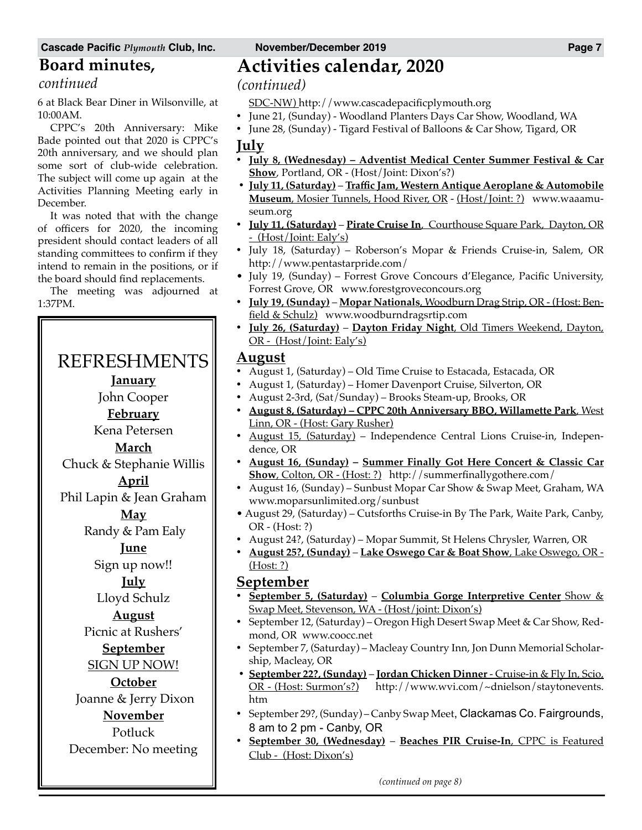#### **Board minutes,**

*continued*

6 at Black Bear Diner in Wilsonville, at 10:00AM.

CPPC's 20th Anniversary: Mike Bade pointed out that 2020 is CPPC's 20th anniversary, and we should plan some sort of club-wide celebration. The subject will come up again at the Activities Planning Meeting early in December.

It was noted that with the change of officers for 2020, the incoming president should contact leaders of all standing committees to confirm if they intend to remain in the positions, or if the board should find replacements.

The meeting was adjourned at 1:37PM.

### REFRESHMENTS

- **January**
- John Cooper

**February**

Kena Petersen

**March**

Chuck & Stephanie Willis

**April** Phil Lapin & Jean Graham

**May**

Randy & Pam Ealy

**June** Sign up now!!

**July**

Lloyd Schulz

**August**

Picnic at Rushers' **September**

SIGN UP NOW!

**October** Joanne & Jerry Dixon

**November**

Potluck

December: No meeting

### **Activities calendar, 2020**

*(continued)*

- SDC-NW) http://www.cascadepacificplymouth.org
- June 21, (Sunday) Woodland Planters Days Car Show, Woodland, WA
- June 28, (Sunday) Tigard Festival of Balloons & Car Show, Tigard, OR **July**
- • **July 8, (Wednesday) Adventist Medical Center Summer Festival & Car Show**, Portland, OR - (Host/Joint: Dixon's?)
- • **July 11, (Saturday) Traffic Jam, Western Antique Aeroplane & Automobile Museum**, Mosier Tunnels, Hood River, OR - (Host/Joint: ?) www.waaamuseum.org
- • **July 11, (Saturday) Pirate Cruise In**, Courthouse Square Park, Dayton, OR - (Host/Joint: Ealy's)
- • July 18, (Saturday) Roberson's Mopar & Friends Cruise-in, Salem, OR http://www.pentastarpride.com/
- July 19, (Sunday) Forrest Grove Concours d'Elegance, Pacific University, Forrest Grove, OR www.forestgroveconcours.org
- • **July 19, (Sunday) Mopar Nationals**, Woodburn Drag Strip, OR (Host: Benfield & Schulz) www.woodburndragsrtip.com
- • **July 26, (Saturday) Dayton Friday Night**, Old Timers Weekend, Dayton, OR - (Host/Joint: Ealy's)

#### **August**

- August 1, (Saturday) Old Time Cruise to Estacada, Estacada, OR
- • August 1, (Saturday) Homer Davenport Cruise, Silverton, OR
- • August 2-3rd, (Sat/Sunday) Brooks Steam-up, Brooks, OR
- • **August 8, (Saturday) CPPC 20th Anniversary BBQ, Willamette Park**, West Linn, OR - (Host: Gary Rusher)
- August 15, (Saturday) Independence Central Lions Cruise-in, Independence, OR
- • **August 16, (Sunday) Summer Finally Got Here Concert & Classic Car Show**, Colton, OR - (Host: ?) http://summerfinallygothere.com/
- August 16, (Sunday) Sunbust Mopar Car Show & Swap Meet, Graham, WA www.moparsunlimited.org/sunbust
- August 29, (Saturday) Cutsforths Cruise-in By The Park, Waite Park, Canby, OR - (Host: ?)
- • August 24?, (Saturday) Mopar Summit, St Helens Chrysler, Warren, OR
- • **August 25?, (Sunday) Lake Oswego Car & Boat Show**, Lake Oswego, OR (Host: ?)

#### **September**

- • **September 5, (Saturday) Columbia Gorge Interpretive Center** Show & Swap Meet, Stevenson, WA - (Host/joint: Dixon's)
- • September 12, (Saturday) Oregon High Desert Swap Meet & Car Show, Redmond, OR www.coocc.net
- September 7, (Saturday) Macleay Country Inn, Jon Dunn Memorial Scholarship, Macleay, OR
- • **September 22?, (Sunday) Jordan Chicken Dinner**  Cruise-in & Fly In, Scio, OR - (Host: Surmon's?) http://www.wvi.com/~dnielson/staytonevents. htm
- September 29?, (Sunday) Canby Swap Meet, Clackamas Co. Fairgrounds, 8 am to 2 pm - Canby, OR
- September 30, (Wednesday) Beaches PIR Cruise-In, CPPC is Featured Club - (Host: Dixon's)